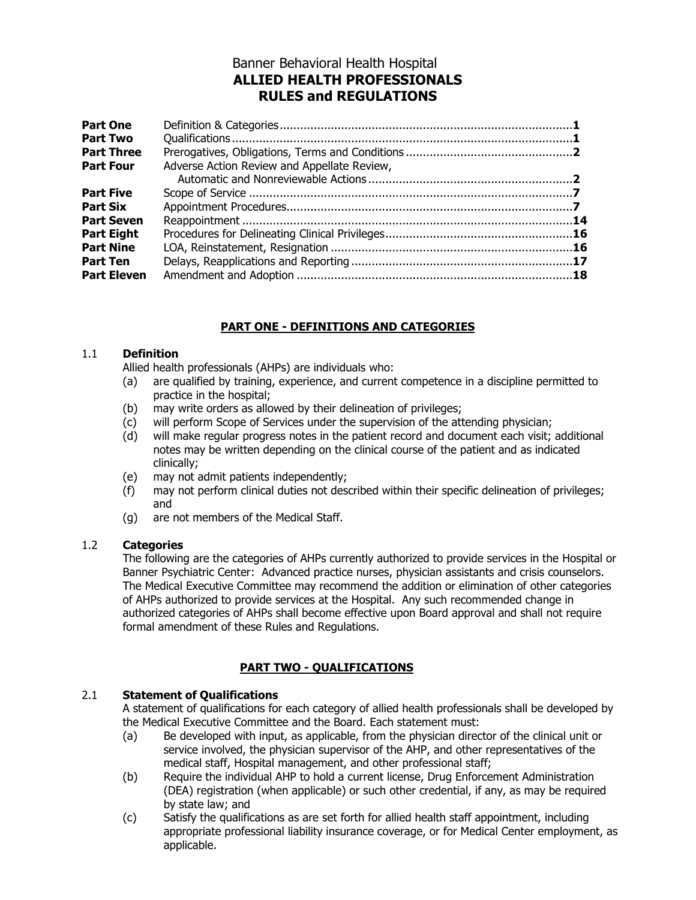# Banner Behavioral Health Hospital **ALLIED HEALTH PROFESSIONALS RULES and REGULATIONS**

| <b>Part One</b>    |                                             |  |
|--------------------|---------------------------------------------|--|
| <b>Part Two</b>    |                                             |  |
| <b>Part Three</b>  |                                             |  |
| <b>Part Four</b>   | Adverse Action Review and Appellate Review, |  |
|                    |                                             |  |
| <b>Part Five</b>   |                                             |  |
| <b>Part Six</b>    |                                             |  |
| <b>Part Seven</b>  |                                             |  |
| <b>Part Eight</b>  |                                             |  |
| <b>Part Nine</b>   |                                             |  |
| <b>Part Ten</b>    |                                             |  |
| <b>Part Eleven</b> |                                             |  |
|                    |                                             |  |

# **PART ONE - DEFINITIONS AND CATEGORIES**

### 1.1 **Definition**

Allied health professionals (AHPs) are individuals who:

- (a) are qualified by training, experience, and current competence in a discipline permitted to practice in the hospital;
- (b) may write orders as allowed by their delineation of privileges;
- (c) will perform Scope of Services under the supervision of the attending physician;
- (d) will make regular progress notes in the patient record and document each visit; additional notes may be written depending on the clinical course of the patient and as indicated clinically;
- (e) may not admit patients independently;
- (f) may not perform clinical duties not described within their specific delineation of privileges; and
- (g) are not members of the Medical Staff.

### 1.2 **Categories**

The following are the categories of AHPs currently authorized to provide services in the Hospital or Banner Psychiatric Center: Advanced practice nurses, physician assistants and crisis counselors. The Medical Executive Committee may recommend the addition or elimination of other categories of AHPs authorized to provide services at the Hospital. Any such recommended change in authorized categories of AHPs shall become effective upon Board approval and shall not require formal amendment of these Rules and Regulations.

### **PART TWO - QUALIFICATIONS**

### 2.1 **Statement of Qualifications**

A statement of qualifications for each category of allied health professionals shall be developed by the Medical Executive Committee and the Board. Each statement must:

- (a) Be developed with input, as applicable, from the physician director of the clinical unit or service involved, the physician supervisor of the AHP, and other representatives of the medical staff, Hospital management, and other professional staff;
- (b) Require the individual AHP to hold a current license, Drug Enforcement Administration (DEA) registration (when applicable) or such other credential, if any, as may be required by state law; and
- (c) Satisfy the qualifications as are set forth for allied health staff appointment, including appropriate professional liability insurance coverage, or for Medical Center employment, as applicable.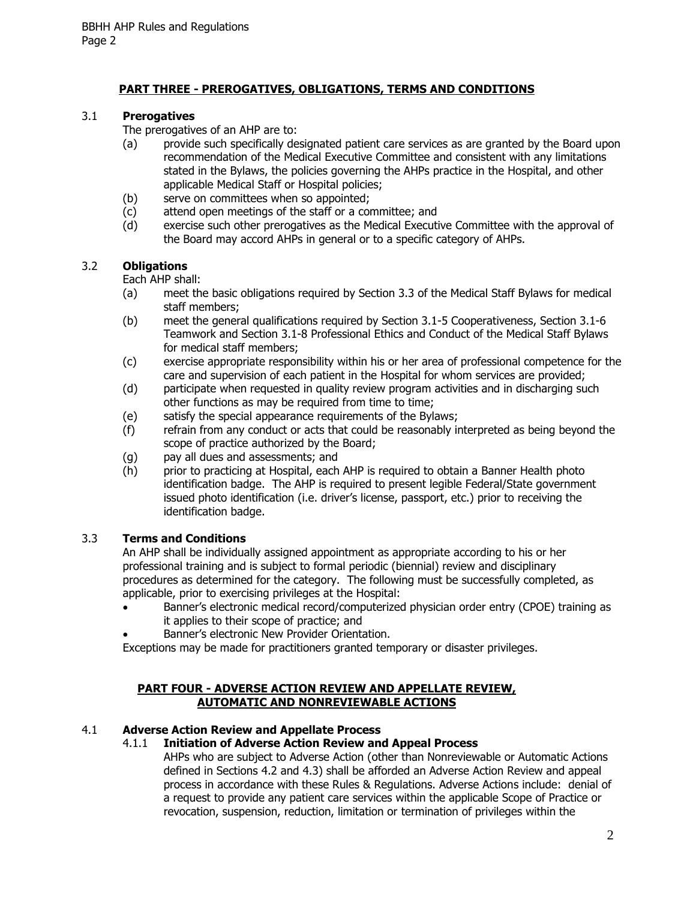# **PART THREE - PREROGATIVES, OBLIGATIONS, TERMS AND CONDITIONS**

# 3.1 **Prerogatives**

The prerogatives of an AHP are to:

- (a) provide such specifically designated patient care services as are granted by the Board upon recommendation of the Medical Executive Committee and consistent with any limitations stated in the Bylaws, the policies governing the AHPs practice in the Hospital, and other applicable Medical Staff or Hospital policies;
- (b) serve on committees when so appointed;
- (c) attend open meetings of the staff or a committee; and
- (d) exercise such other prerogatives as the Medical Executive Committee with the approval of the Board may accord AHPs in general or to a specific category of AHPs.

# 3.2 **Obligations**

Each AHP shall:

- (a) meet the basic obligations required by Section 3.3 of the Medical Staff Bylaws for medical staff members;
- (b) meet the general qualifications required by Section 3.1-5 Cooperativeness, Section 3.1-6 Teamwork and Section 3.1-8 Professional Ethics and Conduct of the Medical Staff Bylaws for medical staff members;
- (c) exercise appropriate responsibility within his or her area of professional competence for the care and supervision of each patient in the Hospital for whom services are provided;
- (d) participate when requested in quality review program activities and in discharging such other functions as may be required from time to time;
- (e) satisfy the special appearance requirements of the Bylaws;
- (f) refrain from any conduct or acts that could be reasonably interpreted as being beyond the scope of practice authorized by the Board;
- (g) pay all dues and assessments; and
- (h) prior to practicing at Hospital, each AHP is required to obtain a Banner Health photo identification badge. The AHP is required to present legible Federal/State government issued photo identification (i.e. driver's license, passport, etc.) prior to receiving the identification badge.

# 3.3 **Terms and Conditions**

An AHP shall be individually assigned appointment as appropriate according to his or her professional training and is subject to formal periodic (biennial) review and disciplinary procedures as determined for the category. The following must be successfully completed, as applicable, prior to exercising privileges at the Hospital:

- Banner's electronic medical record/computerized physician order entry (CPOE) training as it applies to their scope of practice; and
- Banner's electronic New Provider Orientation.

Exceptions may be made for practitioners granted temporary or disaster privileges.

# **PART FOUR - ADVERSE ACTION REVIEW AND APPELLATE REVIEW, AUTOMATIC AND NONREVIEWABLE ACTIONS**

### 4.1 **Adverse Action Review and Appellate Process**

### 4.1.1 **Initiation of Adverse Action Review and Appeal Process**

AHPs who are subject to Adverse Action (other than Nonreviewable or Automatic Actions defined in Sections 4.2 and 4.3) shall be afforded an Adverse Action Review and appeal process in accordance with these Rules & Regulations. Adverse Actions include: denial of a request to provide any patient care services within the applicable Scope of Practice or revocation, suspension, reduction, limitation or termination of privileges within the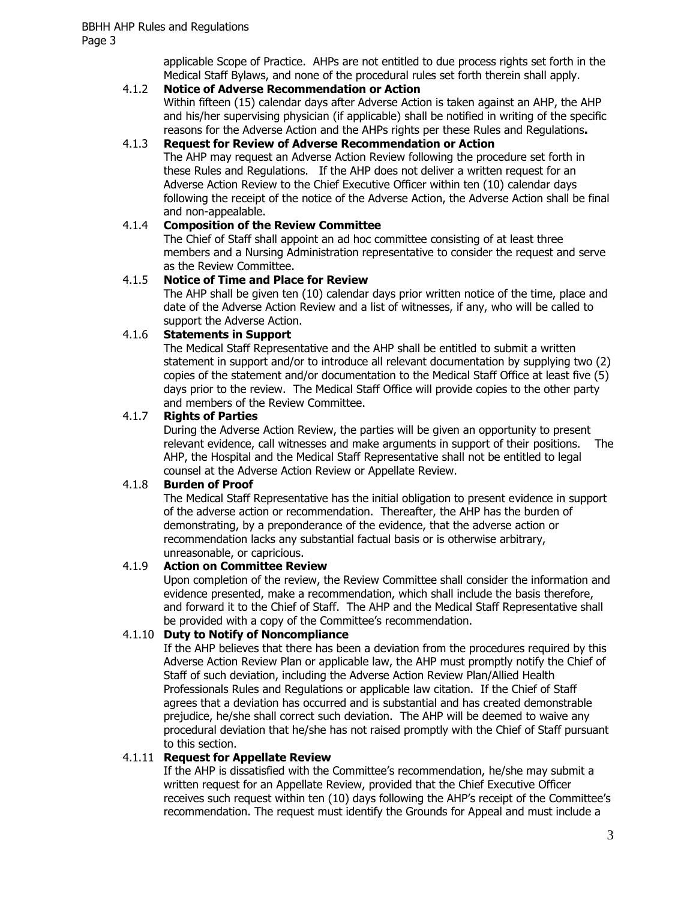applicable Scope of Practice. AHPs are not entitled to due process rights set forth in the Medical Staff Bylaws, and none of the procedural rules set forth therein shall apply.

# 4.1.2 **Notice of Adverse Recommendation or Action**

Within fifteen (15) calendar days after Adverse Action is taken against an AHP, the AHP and his/her supervising physician (if applicable) shall be notified in writing of the specific reasons for the Adverse Action and the AHPs rights per these Rules and Regulations**.**

# 4.1.3 **Request for Review of Adverse Recommendation or Action**

The AHP may request an Adverse Action Review following the procedure set forth in these Rules and Regulations. If the AHP does not deliver a written request for an Adverse Action Review to the Chief Executive Officer within ten (10) calendar days following the receipt of the notice of the Adverse Action, the Adverse Action shall be final and non-appealable.

# 4.1.4 **Composition of the Review Committee**

The Chief of Staff shall appoint an ad hoc committee consisting of at least three members and a Nursing Administration representative to consider the request and serve as the Review Committee.

# 4.1.5 **Notice of Time and Place for Review**

The AHP shall be given ten (10) calendar days prior written notice of the time, place and date of the Adverse Action Review and a list of witnesses, if any, who will be called to support the Adverse Action.

# 4.1.6 **Statements in Support**

The Medical Staff Representative and the AHP shall be entitled to submit a written statement in support and/or to introduce all relevant documentation by supplying two (2) copies of the statement and/or documentation to the Medical Staff Office at least five (5) days prior to the review. The Medical Staff Office will provide copies to the other party and members of the Review Committee.

# 4.1.7 **Rights of Parties**

During the Adverse Action Review, the parties will be given an opportunity to present relevant evidence, call witnesses and make arguments in support of their positions. The AHP, the Hospital and the Medical Staff Representative shall not be entitled to legal counsel at the Adverse Action Review or Appellate Review.

### 4.1.8 **Burden of Proof**

The Medical Staff Representative has the initial obligation to present evidence in support of the adverse action or recommendation. Thereafter, the AHP has the burden of demonstrating, by a preponderance of the evidence, that the adverse action or recommendation lacks any substantial factual basis or is otherwise arbitrary, unreasonable, or capricious.

# 4.1.9 **Action on Committee Review**

Upon completion of the review, the Review Committee shall consider the information and evidence presented, make a recommendation, which shall include the basis therefore, and forward it to the Chief of Staff. The AHP and the Medical Staff Representative shall be provided with a copy of the Committee's recommendation.

### 4.1.10 **Duty to Notify of Noncompliance**

If the AHP believes that there has been a deviation from the procedures required by this Adverse Action Review Plan or applicable law, the AHP must promptly notify the Chief of Staff of such deviation, including the Adverse Action Review Plan/Allied Health Professionals Rules and Regulations or applicable law citation. If the Chief of Staff agrees that a deviation has occurred and is substantial and has created demonstrable prejudice, he/she shall correct such deviation. The AHP will be deemed to waive any procedural deviation that he/she has not raised promptly with the Chief of Staff pursuant to this section.

## 4.1.11 **Request for Appellate Review**

If the AHP is dissatisfied with the Committee's recommendation, he/she may submit a written request for an Appellate Review, provided that the Chief Executive Officer receives such request within ten (10) days following the AHP's receipt of the Committee's recommendation. The request must identify the Grounds for Appeal and must include a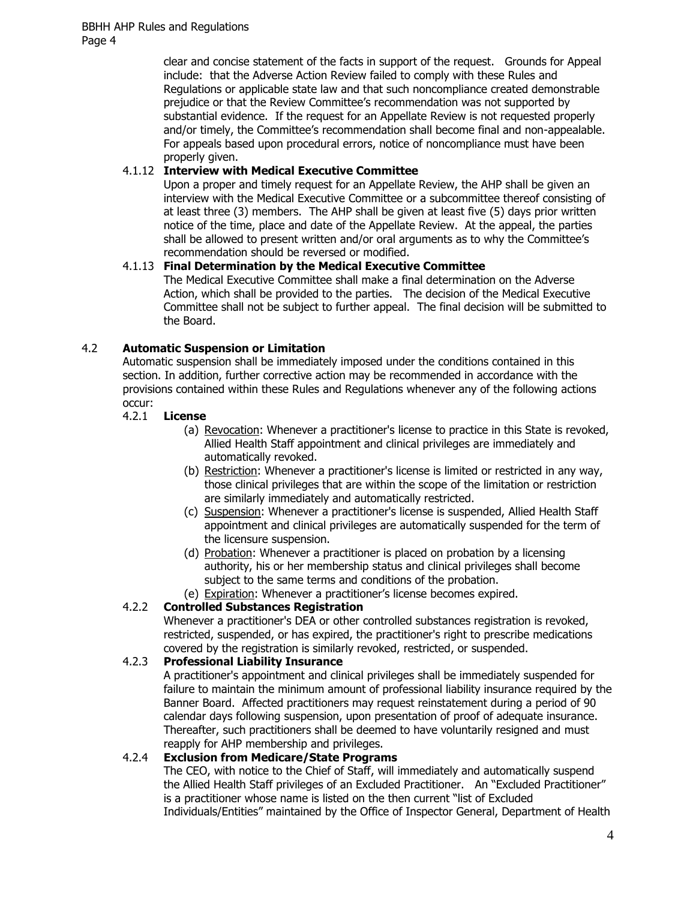clear and concise statement of the facts in support of the request. Grounds for Appeal include: that the Adverse Action Review failed to comply with these Rules and Regulations or applicable state law and that such noncompliance created demonstrable prejudice or that the Review Committee's recommendation was not supported by substantial evidence. If the request for an Appellate Review is not requested properly and/or timely, the Committee's recommendation shall become final and non-appealable. For appeals based upon procedural errors, notice of noncompliance must have been properly given.

# 4.1.12 **Interview with Medical Executive Committee**

Upon a proper and timely request for an Appellate Review, the AHP shall be given an interview with the Medical Executive Committee or a subcommittee thereof consisting of at least three (3) members. The AHP shall be given at least five (5) days prior written notice of the time, place and date of the Appellate Review. At the appeal, the parties shall be allowed to present written and/or oral arguments as to why the Committee's recommendation should be reversed or modified.

# 4.1.13 **Final Determination by the Medical Executive Committee**

The Medical Executive Committee shall make a final determination on the Adverse Action, which shall be provided to the parties. The decision of the Medical Executive Committee shall not be subject to further appeal. The final decision will be submitted to the Board.

# 4.2 **Automatic Suspension or Limitation**

Automatic suspension shall be immediately imposed under the conditions contained in this section. In addition, further corrective action may be recommended in accordance with the provisions contained within these Rules and Regulations whenever any of the following actions occur:

### 4.2.1 **License**

- (a) Revocation: Whenever a practitioner's license to practice in this State is revoked, Allied Health Staff appointment and clinical privileges are immediately and automatically revoked.
- (b) Restriction: Whenever a practitioner's license is limited or restricted in any way, those clinical privileges that are within the scope of the limitation or restriction are similarly immediately and automatically restricted.
- (c) Suspension: Whenever a practitioner's license is suspended, Allied Health Staff appointment and clinical privileges are automatically suspended for the term of the licensure suspension.
- (d) Probation: Whenever a practitioner is placed on probation by a licensing authority, his or her membership status and clinical privileges shall become subject to the same terms and conditions of the probation.
- (e) Expiration: Whenever a practitioner's license becomes expired.

### 4.2.2 **Controlled Substances Registration**

Whenever a practitioner's DEA or other controlled substances registration is revoked. restricted, suspended, or has expired, the practitioner's right to prescribe medications covered by the registration is similarly revoked, restricted, or suspended.

### 4.2.3 **Professional Liability Insurance**

A practitioner's appointment and clinical privileges shall be immediately suspended for failure to maintain the minimum amount of professional liability insurance required by the Banner Board. Affected practitioners may request reinstatement during a period of 90 calendar days following suspension, upon presentation of proof of adequate insurance. Thereafter, such practitioners shall be deemed to have voluntarily resigned and must reapply for AHP membership and privileges.

## 4.2.4 **Exclusion from Medicare/State Programs**

The CEO, with notice to the Chief of Staff, will immediately and automatically suspend the Allied Health Staff privileges of an Excluded Practitioner. An "Excluded Practitioner" is a practitioner whose name is listed on the then current "list of Excluded Individuals/Entities" maintained by the Office of Inspector General, Department of Health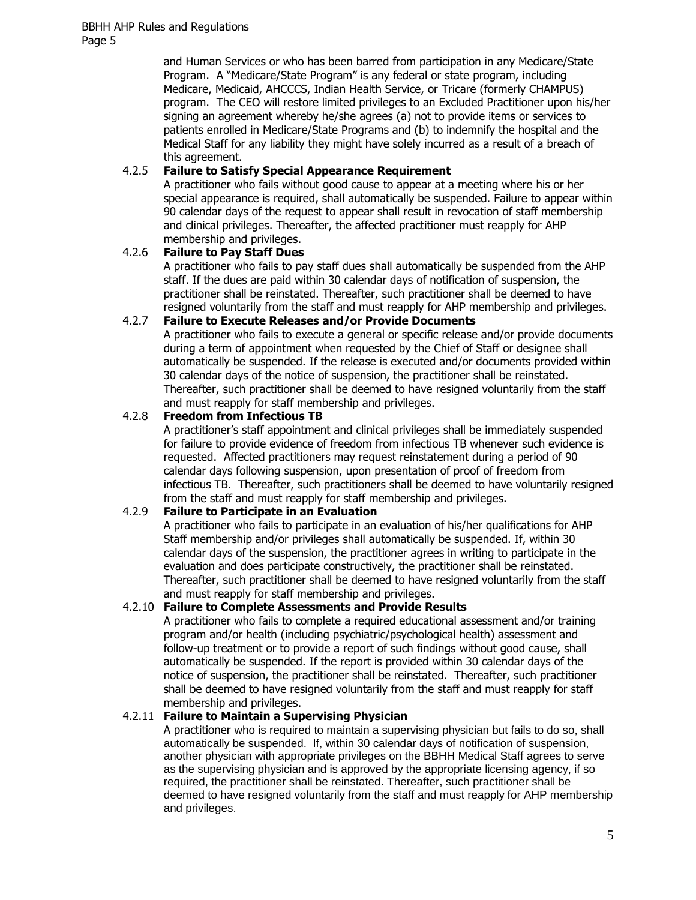and Human Services or who has been barred from participation in any Medicare/State Program. A "Medicare/State Program" is any federal or state program, including Medicare, Medicaid, AHCCCS, Indian Health Service, or Tricare (formerly CHAMPUS) program. The CEO will restore limited privileges to an Excluded Practitioner upon his/her signing an agreement whereby he/she agrees (a) not to provide items or services to patients enrolled in Medicare/State Programs and (b) to indemnify the hospital and the Medical Staff for any liability they might have solely incurred as a result of a breach of this agreement.

# 4.2.5 **Failure to Satisfy Special Appearance Requirement**

A practitioner who fails without good cause to appear at a meeting where his or her special appearance is required, shall automatically be suspended. Failure to appear within 90 calendar days of the request to appear shall result in revocation of staff membership and clinical privileges. Thereafter, the affected practitioner must reapply for AHP membership and privileges.

# 4.2.6 **Failure to Pay Staff Dues**

A practitioner who fails to pay staff dues shall automatically be suspended from the AHP staff. If the dues are paid within 30 calendar days of notification of suspension, the practitioner shall be reinstated. Thereafter, such practitioner shall be deemed to have resigned voluntarily from the staff and must reapply for AHP membership and privileges.

# 4.2.7 **Failure to Execute Releases and/or Provide Documents**

A practitioner who fails to execute a general or specific release and/or provide documents during a term of appointment when requested by the Chief of Staff or designee shall automatically be suspended. If the release is executed and/or documents provided within 30 calendar days of the notice of suspension, the practitioner shall be reinstated. Thereafter, such practitioner shall be deemed to have resigned voluntarily from the staff and must reapply for staff membership and privileges.

# 4.2.8 **Freedom from Infectious TB**

A practitioner's staff appointment and clinical privileges shall be immediately suspended for failure to provide evidence of freedom from infectious TB whenever such evidence is requested. Affected practitioners may request reinstatement during a period of 90 calendar days following suspension, upon presentation of proof of freedom from infectious TB. Thereafter, such practitioners shall be deemed to have voluntarily resigned from the staff and must reapply for staff membership and privileges.

### 4.2.9 **Failure to Participate in an Evaluation**

A practitioner who fails to participate in an evaluation of his/her qualifications for AHP Staff membership and/or privileges shall automatically be suspended. If, within 30 calendar days of the suspension, the practitioner agrees in writing to participate in the evaluation and does participate constructively, the practitioner shall be reinstated. Thereafter, such practitioner shall be deemed to have resigned voluntarily from the staff and must reapply for staff membership and privileges.

### 4.2.10 **Failure to Complete Assessments and Provide Results**

A practitioner who fails to complete a required educational assessment and/or training program and/or health (including psychiatric/psychological health) assessment and follow-up treatment or to provide a report of such findings without good cause, shall automatically be suspended. If the report is provided within 30 calendar days of the notice of suspension, the practitioner shall be reinstated. Thereafter, such practitioner shall be deemed to have resigned voluntarily from the staff and must reapply for staff membership and privileges.

### 4.2.11 **Failure to Maintain a Supervising Physician**

A practitioner who is required to maintain a supervising physician but fails to do so, shall automatically be suspended. If, within 30 calendar days of notification of suspension, another physician with appropriate privileges on the BBHH Medical Staff agrees to serve as the supervising physician and is approved by the appropriate licensing agency, if so required, the practitioner shall be reinstated. Thereafter, such practitioner shall be deemed to have resigned voluntarily from the staff and must reapply for AHP membership and privileges.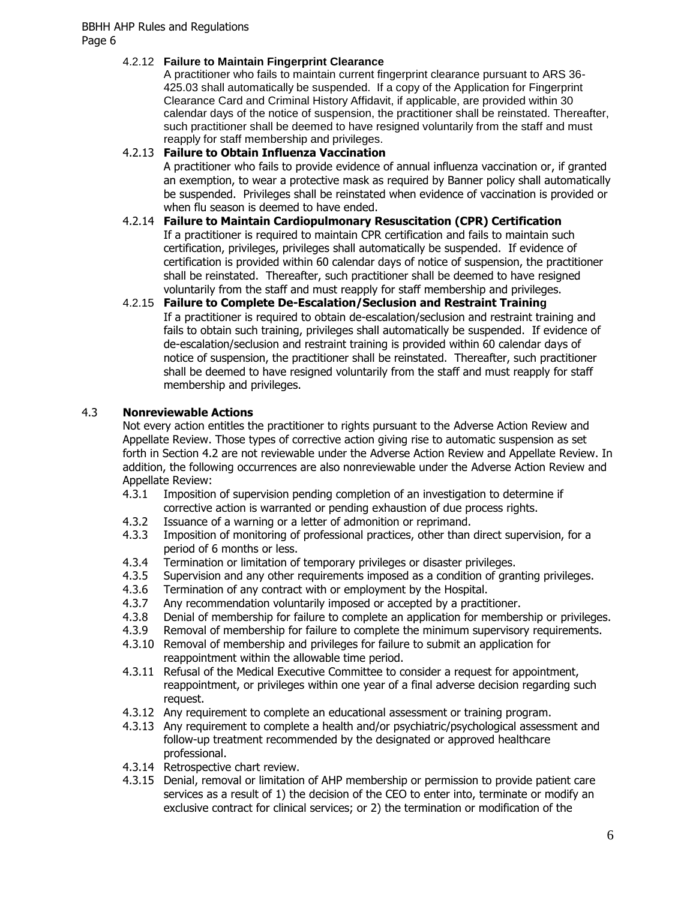#### 4.2.12 **Failure to Maintain Fingerprint Clearance**

A practitioner who fails to maintain current fingerprint clearance pursuant to ARS 36- 425.03 shall automatically be suspended. If a copy of the Application for Fingerprint Clearance Card and Criminal History Affidavit, if applicable, are provided within 30 calendar days of the notice of suspension, the practitioner shall be reinstated. Thereafter, such practitioner shall be deemed to have resigned voluntarily from the staff and must reapply for staff membership and privileges.

### 4.2.13 **Failure to Obtain Influenza Vaccination**

A practitioner who fails to provide evidence of annual influenza vaccination or, if granted an exemption, to wear a protective mask as required by Banner policy shall automatically be suspended. Privileges shall be reinstated when evidence of vaccination is provided or when flu season is deemed to have ended.

#### 4.2.14 **Failure to Maintain Cardiopulmonary Resuscitation (CPR) Certification** If a practitioner is required to maintain CPR certification and fails to maintain such certification, privileges, privileges shall automatically be suspended. If evidence of certification is provided within 60 calendar days of notice of suspension, the practitioner shall be reinstated. Thereafter, such practitioner shall be deemed to have resigned voluntarily from the staff and must reapply for staff membership and privileges.

4.2.15 **Failure to Complete De-Escalation/Seclusion and Restraint Training** If a practitioner is required to obtain de-escalation/seclusion and restraint training and fails to obtain such training, privileges shall automatically be suspended. If evidence of de-escalation/seclusion and restraint training is provided within 60 calendar days of notice of suspension, the practitioner shall be reinstated. Thereafter, such practitioner shall be deemed to have resigned voluntarily from the staff and must reapply for staff membership and privileges.

# 4.3 **Nonreviewable Actions**

Not every action entitles the practitioner to rights pursuant to the Adverse Action Review and Appellate Review. Those types of corrective action giving rise to automatic suspension as set forth in Section 4.2 are not reviewable under the Adverse Action Review and Appellate Review. In addition, the following occurrences are also nonreviewable under the Adverse Action Review and Appellate Review:

- 4.3.1 Imposition of supervision pending completion of an investigation to determine if corrective action is warranted or pending exhaustion of due process rights.
- 4.3.2 Issuance of a warning or a letter of admonition or reprimand.
- 4.3.3 Imposition of monitoring of professional practices, other than direct supervision, for a period of 6 months or less.
- 4.3.4 Termination or limitation of temporary privileges or disaster privileges.
- 4.3.5 Supervision and any other requirements imposed as a condition of granting privileges.
- 4.3.6 Termination of any contract with or employment by the Hospital.
- 4.3.7 Any recommendation voluntarily imposed or accepted by a practitioner.
- 4.3.8 Denial of membership for failure to complete an application for membership or privileges.
- 4.3.9 Removal of membership for failure to complete the minimum supervisory requirements.
- 4.3.10 Removal of membership and privileges for failure to submit an application for reappointment within the allowable time period.
- 4.3.11 Refusal of the Medical Executive Committee to consider a request for appointment, reappointment, or privileges within one year of a final adverse decision regarding such request.
- 4.3.12 Any requirement to complete an educational assessment or training program.
- 4.3.13 Any requirement to complete a health and/or psychiatric/psychological assessment and follow-up treatment recommended by the designated or approved healthcare professional.
- 4.3.14 Retrospective chart review.
- 4.3.15 Denial, removal or limitation of AHP membership or permission to provide patient care services as a result of 1) the decision of the CEO to enter into, terminate or modify an exclusive contract for clinical services; or 2) the termination or modification of the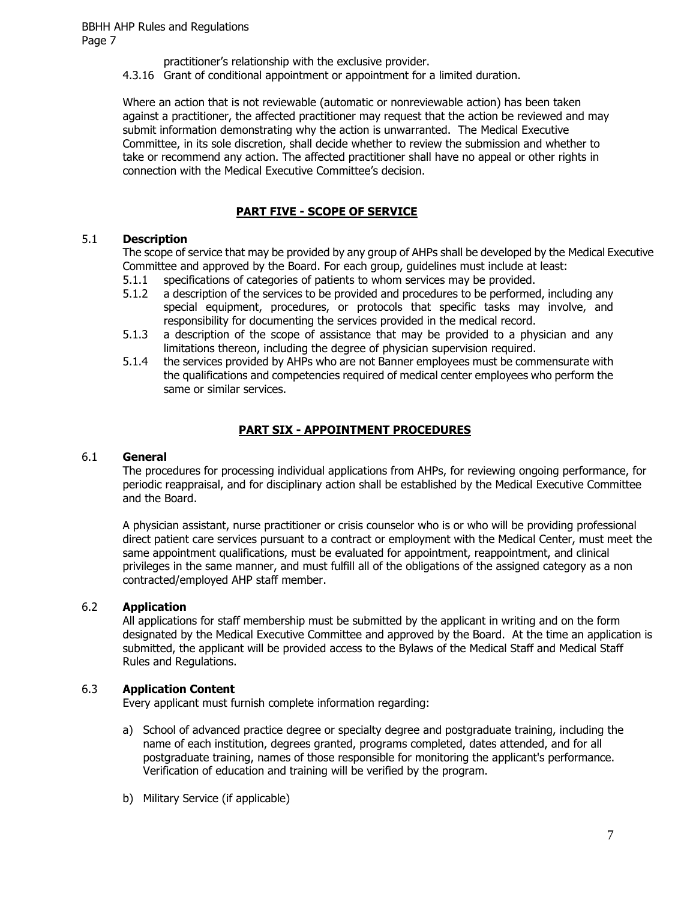practitioner's relationship with the exclusive provider.

4.3.16 Grant of conditional appointment or appointment for a limited duration.

Where an action that is not reviewable (automatic or nonreviewable action) has been taken against a practitioner, the affected practitioner may request that the action be reviewed and may submit information demonstrating why the action is unwarranted. The Medical Executive Committee, in its sole discretion, shall decide whether to review the submission and whether to take or recommend any action. The affected practitioner shall have no appeal or other rights in connection with the Medical Executive Committee's decision.

# **PART FIVE - SCOPE OF SERVICE**

# 5.1 **Description**

The scope of service that may be provided by any group of AHPs shall be developed by the Medical Executive Committee and approved by the Board. For each group, guidelines must include at least:

- 5.1.1 specifications of categories of patients to whom services may be provided.
- 5.1.2 a description of the services to be provided and procedures to be performed, including any special equipment, procedures, or protocols that specific tasks may involve, and responsibility for documenting the services provided in the medical record.
- 5.1.3 a description of the scope of assistance that may be provided to a physician and any limitations thereon, including the degree of physician supervision required.
- 5.1.4 the services provided by AHPs who are not Banner employees must be commensurate with the qualifications and competencies required of medical center employees who perform the same or similar services.

# **PART SIX - APPOINTMENT PROCEDURES**

### 6.1 **General**

The procedures for processing individual applications from AHPs, for reviewing ongoing performance, for periodic reappraisal, and for disciplinary action shall be established by the Medical Executive Committee and the Board.

A physician assistant, nurse practitioner or crisis counselor who is or who will be providing professional direct patient care services pursuant to a contract or employment with the Medical Center, must meet the same appointment qualifications, must be evaluated for appointment, reappointment, and clinical privileges in the same manner, and must fulfill all of the obligations of the assigned category as a non contracted/employed AHP staff member.

### 6.2 **Application**

All applications for staff membership must be submitted by the applicant in writing and on the form designated by the Medical Executive Committee and approved by the Board. At the time an application is submitted, the applicant will be provided access to the Bylaws of the Medical Staff and Medical Staff Rules and Regulations.

# 6.3 **Application Content**

Every applicant must furnish complete information regarding:

- a) School of advanced practice degree or specialty degree and postgraduate training, including the name of each institution, degrees granted, programs completed, dates attended, and for all postgraduate training, names of those responsible for monitoring the applicant's performance. Verification of education and training will be verified by the program.
- b) Military Service (if applicable)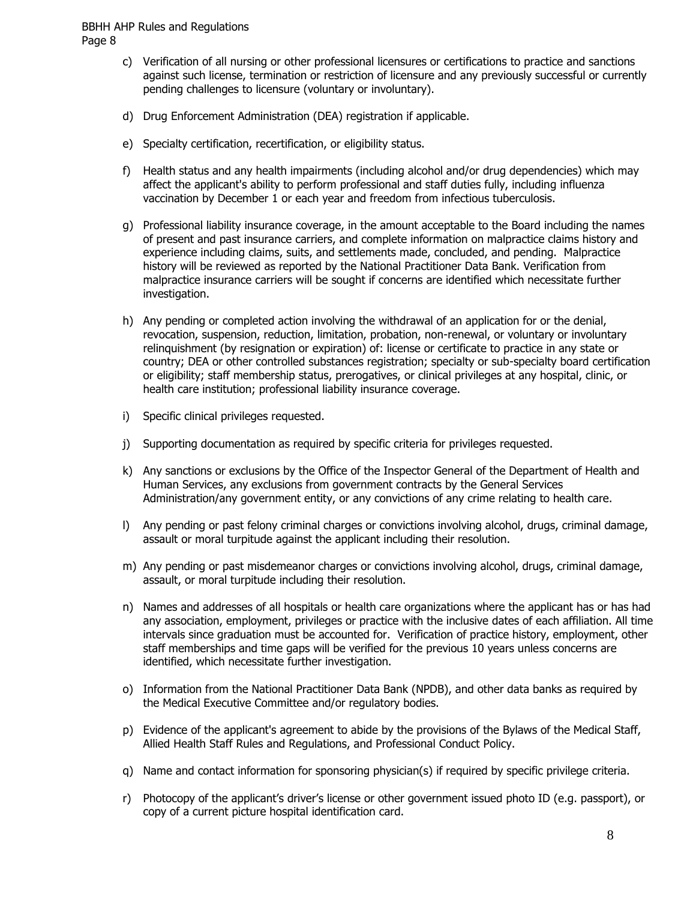- c) Verification of all nursing or other professional licensures or certifications to practice and sanctions against such license, termination or restriction of licensure and any previously successful or currently pending challenges to licensure (voluntary or involuntary).
- d) Drug Enforcement Administration (DEA) registration if applicable.
- e) Specialty certification, recertification, or eligibility status.
- f) Health status and any health impairments (including alcohol and/or drug dependencies) which may affect the applicant's ability to perform professional and staff duties fully, including influenza vaccination by December 1 or each year and freedom from infectious tuberculosis.
- g) Professional liability insurance coverage, in the amount acceptable to the Board including the names of present and past insurance carriers, and complete information on malpractice claims history and experience including claims, suits, and settlements made, concluded, and pending. Malpractice history will be reviewed as reported by the National Practitioner Data Bank. Verification from malpractice insurance carriers will be sought if concerns are identified which necessitate further investigation.
- h) Any pending or completed action involving the withdrawal of an application for or the denial, revocation, suspension, reduction, limitation, probation, non-renewal, or voluntary or involuntary relinquishment (by resignation or expiration) of: license or certificate to practice in any state or country; DEA or other controlled substances registration; specialty or sub-specialty board certification or eligibility; staff membership status, prerogatives, or clinical privileges at any hospital, clinic, or health care institution; professional liability insurance coverage.
- i) Specific clinical privileges requested.
- j) Supporting documentation as required by specific criteria for privileges requested.
- k) Any sanctions or exclusions by the Office of the Inspector General of the Department of Health and Human Services, any exclusions from government contracts by the General Services Administration/any government entity, or any convictions of any crime relating to health care.
- l) Any pending or past felony criminal charges or convictions involving alcohol, drugs, criminal damage, assault or moral turpitude against the applicant including their resolution.
- m) Any pending or past misdemeanor charges or convictions involving alcohol, drugs, criminal damage, assault, or moral turpitude including their resolution.
- n) Names and addresses of all hospitals or health care organizations where the applicant has or has had any association, employment, privileges or practice with the inclusive dates of each affiliation. All time intervals since graduation must be accounted for. Verification of practice history, employment, other staff memberships and time gaps will be verified for the previous 10 years unless concerns are identified, which necessitate further investigation.
- o) Information from the National Practitioner Data Bank (NPDB), and other data banks as required by the Medical Executive Committee and/or regulatory bodies.
- p) Evidence of the applicant's agreement to abide by the provisions of the Bylaws of the Medical Staff, Allied Health Staff Rules and Regulations, and Professional Conduct Policy.
- q) Name and contact information for sponsoring physician(s) if required by specific privilege criteria.
- r) Photocopy of the applicant's driver's license or other government issued photo ID (e.g. passport), or copy of a current picture hospital identification card.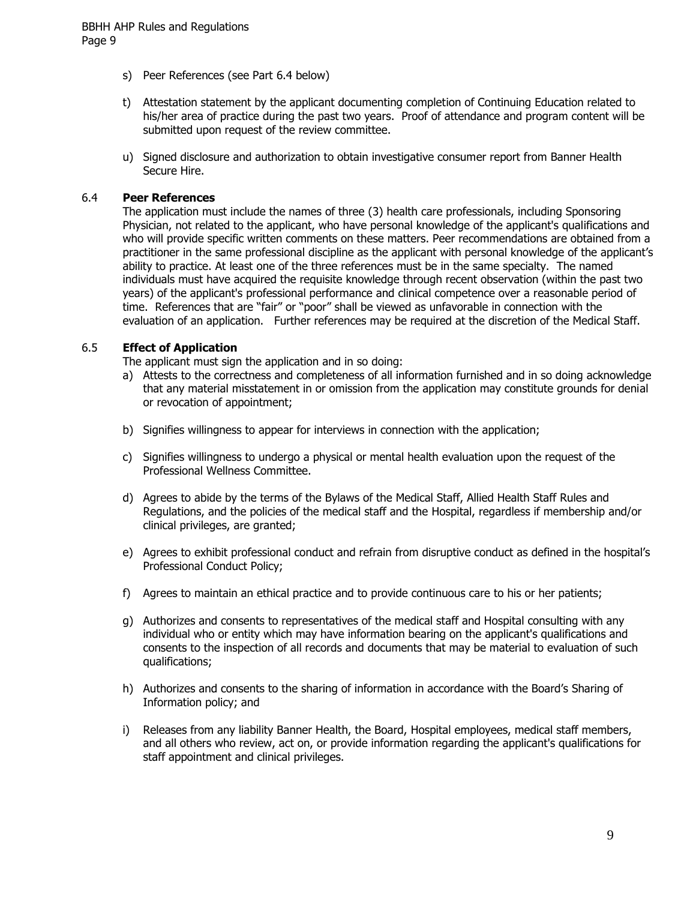- s) Peer References (see Part 6.4 below)
- t) Attestation statement by the applicant documenting completion of Continuing Education related to his/her area of practice during the past two years. Proof of attendance and program content will be submitted upon request of the review committee.
- u) Signed disclosure and authorization to obtain investigative consumer report from Banner Health Secure Hire.

### 6.4 **Peer References**

The application must include the names of three (3) health care professionals, including Sponsoring Physician, not related to the applicant, who have personal knowledge of the applicant's qualifications and who will provide specific written comments on these matters. Peer recommendations are obtained from a practitioner in the same professional discipline as the applicant with personal knowledge of the applicant's ability to practice. At least one of the three references must be in the same specialty. The named individuals must have acquired the requisite knowledge through recent observation (within the past two years) of the applicant's professional performance and clinical competence over a reasonable period of time. References that are "fair" or "poor" shall be viewed as unfavorable in connection with the evaluation of an application. Further references may be required at the discretion of the Medical Staff.

#### 6.5 **Effect of Application**

The applicant must sign the application and in so doing:

- a) Attests to the correctness and completeness of all information furnished and in so doing acknowledge that any material misstatement in or omission from the application may constitute grounds for denial or revocation of appointment;
- b) Signifies willingness to appear for interviews in connection with the application;
- c) Signifies willingness to undergo a physical or mental health evaluation upon the request of the Professional Wellness Committee.
- d) Agrees to abide by the terms of the Bylaws of the Medical Staff, Allied Health Staff Rules and Regulations, and the policies of the medical staff and the Hospital, regardless if membership and/or clinical privileges, are granted;
- e) Agrees to exhibit professional conduct and refrain from disruptive conduct as defined in the hospital's Professional Conduct Policy;
- f) Agrees to maintain an ethical practice and to provide continuous care to his or her patients;
- g) Authorizes and consents to representatives of the medical staff and Hospital consulting with any individual who or entity which may have information bearing on the applicant's qualifications and consents to the inspection of all records and documents that may be material to evaluation of such qualifications;
- h) Authorizes and consents to the sharing of information in accordance with the Board's Sharing of Information policy; and
- i) Releases from any liability Banner Health, the Board, Hospital employees, medical staff members, and all others who review, act on, or provide information regarding the applicant's qualifications for staff appointment and clinical privileges.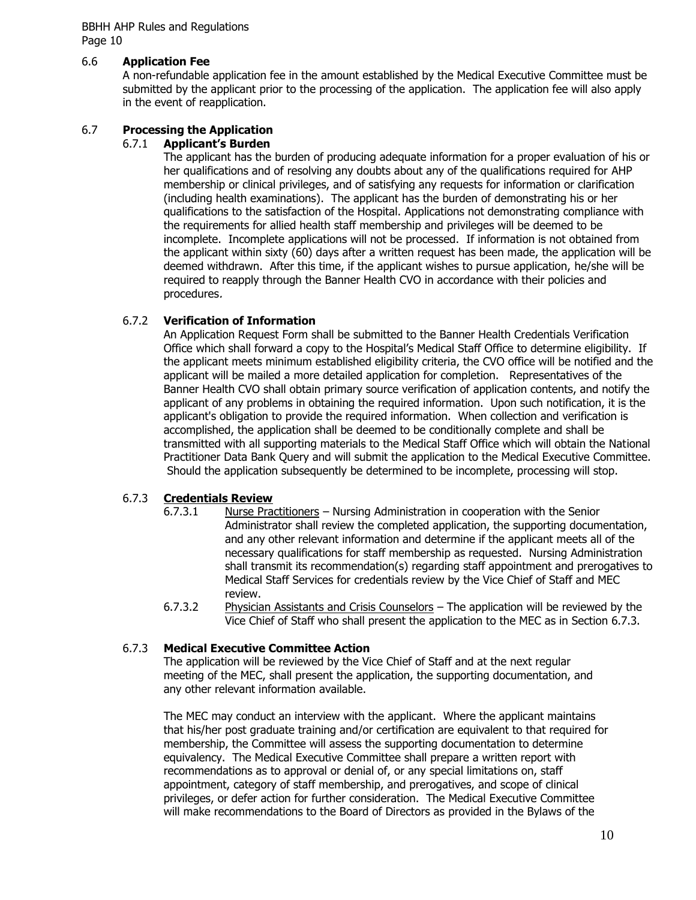#### 6.6 **Application Fee**

A non-refundable application fee in the amount established by the Medical Executive Committee must be submitted by the applicant prior to the processing of the application. The application fee will also apply in the event of reapplication.

# 6.7 **Processing the Application**

#### 6.7.1 **Applicant's Burden**

The applicant has the burden of producing adequate information for a proper evaluation of his or her qualifications and of resolving any doubts about any of the qualifications required for AHP membership or clinical privileges, and of satisfying any requests for information or clarification (including health examinations). The applicant has the burden of demonstrating his or her qualifications to the satisfaction of the Hospital. Applications not demonstrating compliance with the requirements for allied health staff membership and privileges will be deemed to be incomplete. Incomplete applications will not be processed. If information is not obtained from the applicant within sixty (60) days after a written request has been made, the application will be deemed withdrawn. After this time, if the applicant wishes to pursue application, he/she will be required to reapply through the Banner Health CVO in accordance with their policies and procedures.

### 6.7.2 **Verification of Information**

An Application Request Form shall be submitted to the Banner Health Credentials Verification Office which shall forward a copy to the Hospital's Medical Staff Office to determine eligibility. If the applicant meets minimum established eligibility criteria, the CVO office will be notified and the applicant will be mailed a more detailed application for completion. Representatives of the Banner Health CVO shall obtain primary source verification of application contents, and notify the applicant of any problems in obtaining the required information. Upon such notification, it is the applicant's obligation to provide the required information. When collection and verification is accomplished, the application shall be deemed to be conditionally complete and shall be transmitted with all supporting materials to the Medical Staff Office which will obtain the National Practitioner Data Bank Query and will submit the application to the Medical Executive Committee. Should the application subsequently be determined to be incomplete, processing will stop.

### 6.7.3 **Credentials Review**

- 6.7.3.1 Nurse Practitioners Nursing Administration in cooperation with the Senior Administrator shall review the completed application, the supporting documentation, and any other relevant information and determine if the applicant meets all of the necessary qualifications for staff membership as requested. Nursing Administration shall transmit its recommendation(s) regarding staff appointment and prerogatives to Medical Staff Services for credentials review by the Vice Chief of Staff and MEC review.
- 6.7.3.2 Physician Assistants and Crisis Counselors The application will be reviewed by the Vice Chief of Staff who shall present the application to the MEC as in Section 6.7.3.

### 6.7.3 **Medical Executive Committee Action**

The application will be reviewed by the Vice Chief of Staff and at the next regular meeting of the MEC, shall present the application, the supporting documentation, and any other relevant information available.

The MEC may conduct an interview with the applicant. Where the applicant maintains that his/her post graduate training and/or certification are equivalent to that required for membership, the Committee will assess the supporting documentation to determine equivalency. The Medical Executive Committee shall prepare a written report with recommendations as to approval or denial of, or any special limitations on, staff appointment, category of staff membership, and prerogatives, and scope of clinical privileges, or defer action for further consideration. The Medical Executive Committee will make recommendations to the Board of Directors as provided in the Bylaws of the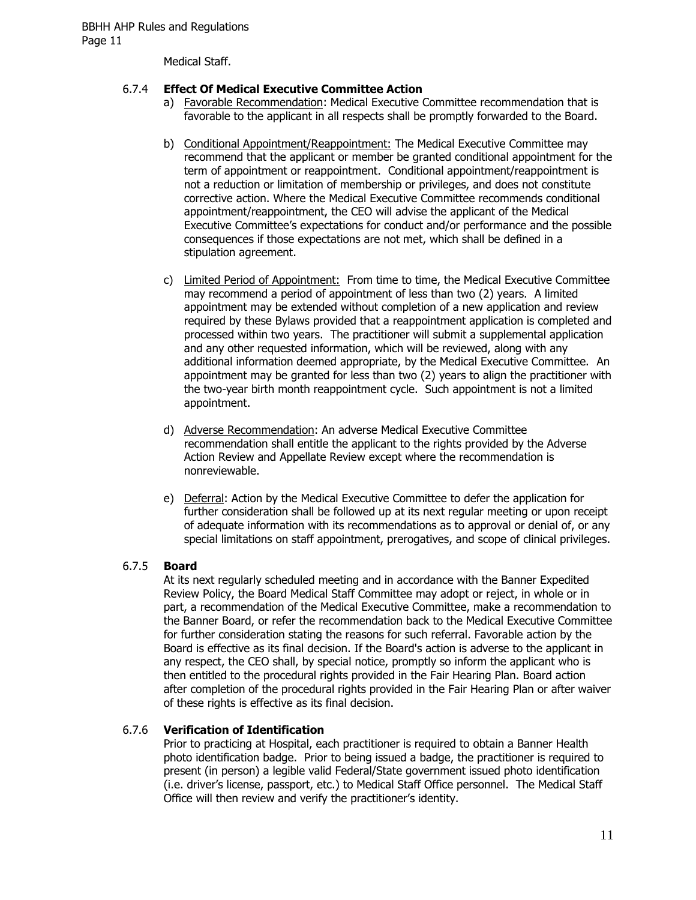Medical Staff.

#### 6.7.4 **Effect Of Medical Executive Committee Action**

- a) Favorable Recommendation: Medical Executive Committee recommendation that is favorable to the applicant in all respects shall be promptly forwarded to the Board.
- b) Conditional Appointment/Reappointment: The Medical Executive Committee may recommend that the applicant or member be granted conditional appointment for the term of appointment or reappointment. Conditional appointment/reappointment is not a reduction or limitation of membership or privileges, and does not constitute corrective action. Where the Medical Executive Committee recommends conditional appointment/reappointment, the CEO will advise the applicant of the Medical Executive Committee's expectations for conduct and/or performance and the possible consequences if those expectations are not met, which shall be defined in a stipulation agreement.
- c) Limited Period of Appointment: From time to time, the Medical Executive Committee may recommend a period of appointment of less than two (2) years. A limited appointment may be extended without completion of a new application and review required by these Bylaws provided that a reappointment application is completed and processed within two years. The practitioner will submit a supplemental application and any other requested information, which will be reviewed, along with any additional information deemed appropriate, by the Medical Executive Committee. An appointment may be granted for less than two (2) years to align the practitioner with the two-year birth month reappointment cycle. Such appointment is not a limited appointment.
- d) Adverse Recommendation: An adverse Medical Executive Committee recommendation shall entitle the applicant to the rights provided by the Adverse Action Review and Appellate Review except where the recommendation is nonreviewable.
- e) Deferral: Action by the Medical Executive Committee to defer the application for further consideration shall be followed up at its next regular meeting or upon receipt of adequate information with its recommendations as to approval or denial of, or any special limitations on staff appointment, prerogatives, and scope of clinical privileges.

### 6.7.5 **Board**

At its next regularly scheduled meeting and in accordance with the Banner Expedited Review Policy, the Board Medical Staff Committee may adopt or reject, in whole or in part, a recommendation of the Medical Executive Committee, make a recommendation to the Banner Board, or refer the recommendation back to the Medical Executive Committee for further consideration stating the reasons for such referral. Favorable action by the Board is effective as its final decision. If the Board's action is adverse to the applicant in any respect, the CEO shall, by special notice, promptly so inform the applicant who is then entitled to the procedural rights provided in the Fair Hearing Plan. Board action after completion of the procedural rights provided in the Fair Hearing Plan or after waiver of these rights is effective as its final decision.

### 6.7.6 **Verification of Identification**

Prior to practicing at Hospital, each practitioner is required to obtain a Banner Health photo identification badge. Prior to being issued a badge, the practitioner is required to present (in person) a legible valid Federal/State government issued photo identification (i.e. driver's license, passport, etc.) to Medical Staff Office personnel. The Medical Staff Office will then review and verify the practitioner's identity.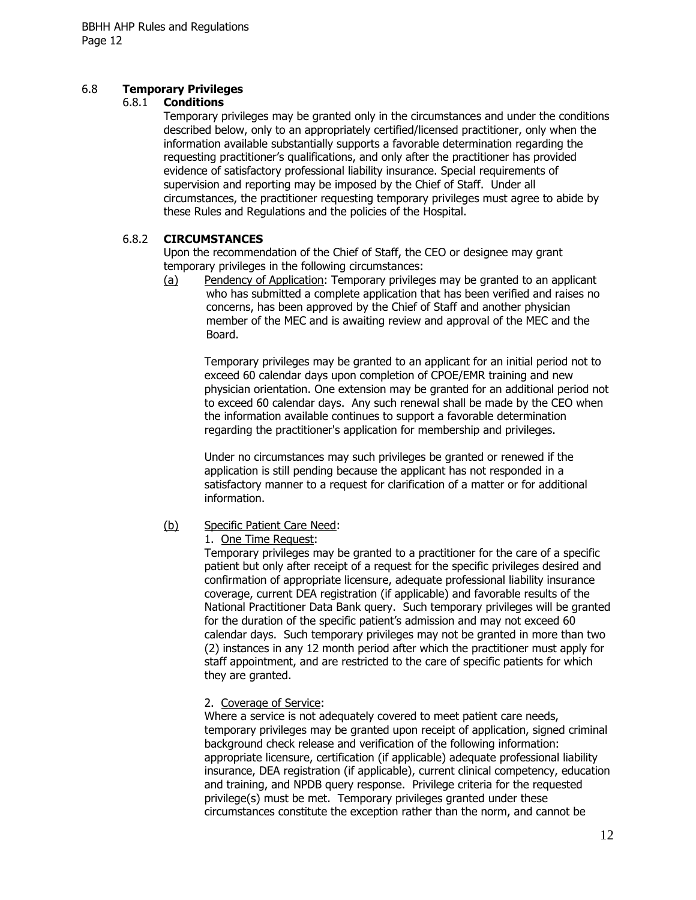# 6.8 **Temporary Privileges**

### 6.8.1 **Conditions**

Temporary privileges may be granted only in the circumstances and under the conditions described below, only to an appropriately certified/licensed practitioner, only when the information available substantially supports a favorable determination regarding the requesting practitioner's qualifications, and only after the practitioner has provided evidence of satisfactory professional liability insurance. Special requirements of supervision and reporting may be imposed by the Chief of Staff. Under all circumstances, the practitioner requesting temporary privileges must agree to abide by these Rules and Regulations and the policies of the Hospital.

### 6.8.2 **CIRCUMSTANCES**

Upon the recommendation of the Chief of Staff, the CEO or designee may grant temporary privileges in the following circumstances:

(a) Pendency of Application: Temporary privileges may be granted to an applicant who has submitted a complete application that has been verified and raises no concerns, has been approved by the Chief of Staff and another physician member of the MEC and is awaiting review and approval of the MEC and the Board.

Temporary privileges may be granted to an applicant for an initial period not to exceed 60 calendar days upon completion of CPOE/EMR training and new physician orientation. One extension may be granted for an additional period not to exceed 60 calendar days. Any such renewal shall be made by the CEO when the information available continues to support a favorable determination regarding the practitioner's application for membership and privileges.

Under no circumstances may such privileges be granted or renewed if the application is still pending because the applicant has not responded in a satisfactory manner to a request for clarification of a matter or for additional information.

# (b) Specific Patient Care Need:

### 1. One Time Request:

Temporary privileges may be granted to a practitioner for the care of a specific patient but only after receipt of a request for the specific privileges desired and confirmation of appropriate licensure, adequate professional liability insurance coverage, current DEA registration (if applicable) and favorable results of the National Practitioner Data Bank query. Such temporary privileges will be granted for the duration of the specific patient's admission and may not exceed 60 calendar days. Such temporary privileges may not be granted in more than two (2) instances in any 12 month period after which the practitioner must apply for staff appointment, and are restricted to the care of specific patients for which they are granted.

### 2. Coverage of Service:

Where a service is not adequately covered to meet patient care needs, temporary privileges may be granted upon receipt of application, signed criminal background check release and verification of the following information: appropriate licensure, certification (if applicable) adequate professional liability insurance, DEA registration (if applicable), current clinical competency, education and training, and NPDB query response. Privilege criteria for the requested privilege(s) must be met. Temporary privileges granted under these circumstances constitute the exception rather than the norm, and cannot be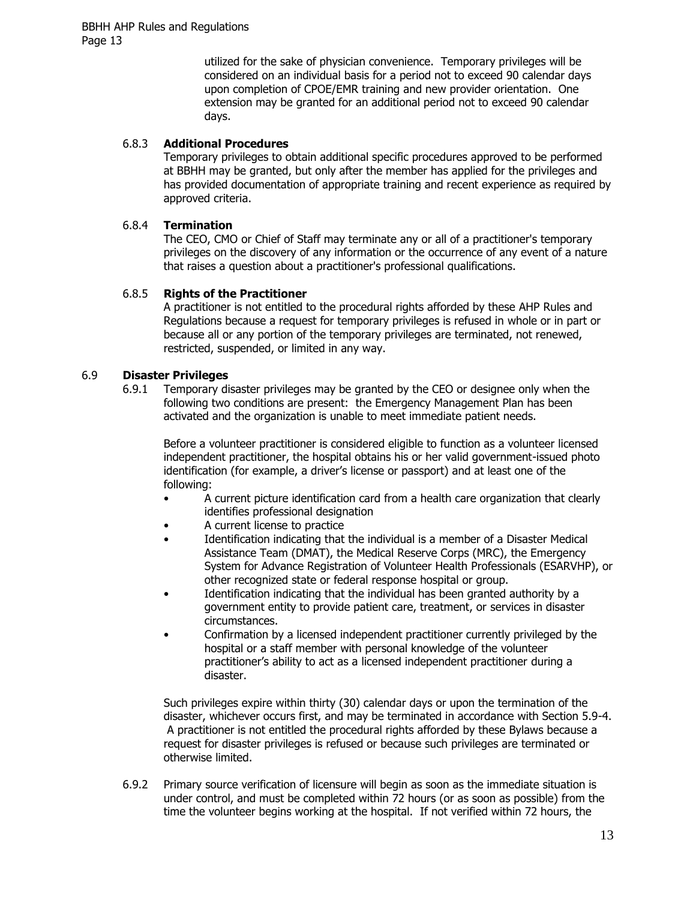utilized for the sake of physician convenience. Temporary privileges will be considered on an individual basis for a period not to exceed 90 calendar days upon completion of CPOE/EMR training and new provider orientation. One extension may be granted for an additional period not to exceed 90 calendar days.

# 6.8.3 **Additional Procedures**

Temporary privileges to obtain additional specific procedures approved to be performed at BBHH may be granted, but only after the member has applied for the privileges and has provided documentation of appropriate training and recent experience as required by approved criteria.

## 6.8.4 **Termination**

The CEO, CMO or Chief of Staff may terminate any or all of a practitioner's temporary privileges on the discovery of any information or the occurrence of any event of a nature that raises a question about a practitioner's professional qualifications.

# 6.8.5 **Rights of the Practitioner**

A practitioner is not entitled to the procedural rights afforded by these AHP Rules and Regulations because a request for temporary privileges is refused in whole or in part or because all or any portion of the temporary privileges are terminated, not renewed, restricted, suspended, or limited in any way.

### 6.9 **Disaster Privileges**

6.9.1 Temporary disaster privileges may be granted by the CEO or designee only when the following two conditions are present: the Emergency Management Plan has been activated and the organization is unable to meet immediate patient needs.

Before a volunteer practitioner is considered eligible to function as a volunteer licensed independent practitioner, the hospital obtains his or her valid government-issued photo identification (for example, a driver's license or passport) and at least one of the following:

- A current picture identification card from a health care organization that clearly identifies professional designation
- A current license to practice
- Identification indicating that the individual is a member of a Disaster Medical Assistance Team (DMAT), the Medical Reserve Corps (MRC), the Emergency System for Advance Registration of Volunteer Health Professionals (ESARVHP), or other recognized state or federal response hospital or group.
- Identification indicating that the individual has been granted authority by a government entity to provide patient care, treatment, or services in disaster circumstances.
- Confirmation by a licensed independent practitioner currently privileged by the hospital or a staff member with personal knowledge of the volunteer practitioner's ability to act as a licensed independent practitioner during a disaster.

Such privileges expire within thirty (30) calendar days or upon the termination of the disaster, whichever occurs first, and may be terminated in accordance with Section 5.9-4. A practitioner is not entitled the procedural rights afforded by these Bylaws because a request for disaster privileges is refused or because such privileges are terminated or otherwise limited.

6.9.2 Primary source verification of licensure will begin as soon as the immediate situation is under control, and must be completed within 72 hours (or as soon as possible) from the time the volunteer begins working at the hospital. If not verified within 72 hours, the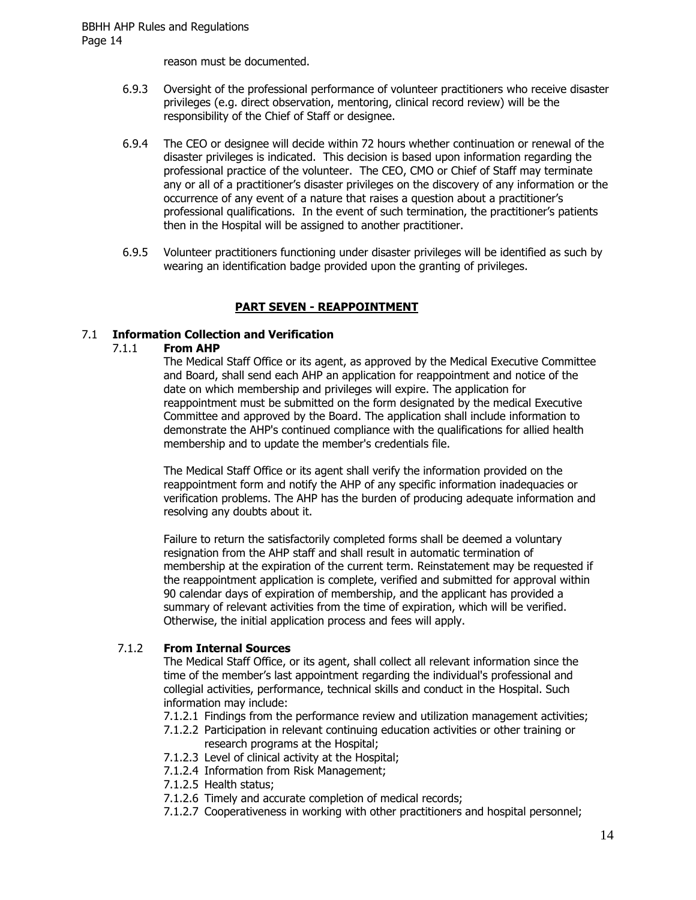reason must be documented.

- 6.9.3 Oversight of the professional performance of volunteer practitioners who receive disaster privileges (e.g. direct observation, mentoring, clinical record review) will be the responsibility of the Chief of Staff or designee.
- 6.9.4 The CEO or designee will decide within 72 hours whether continuation or renewal of the disaster privileges is indicated. This decision is based upon information regarding the professional practice of the volunteer. The CEO, CMO or Chief of Staff may terminate any or all of a practitioner's disaster privileges on the discovery of any information or the occurrence of any event of a nature that raises a question about a practitioner's professional qualifications. In the event of such termination, the practitioner's patients then in the Hospital will be assigned to another practitioner.
- 6.9.5 Volunteer practitioners functioning under disaster privileges will be identified as such by wearing an identification badge provided upon the granting of privileges.

# **PART SEVEN - REAPPOINTMENT**

### 7.1 **Information Collection and Verification**

#### 7.1.1 **From AHP**

The Medical Staff Office or its agent, as approved by the Medical Executive Committee and Board, shall send each AHP an application for reappointment and notice of the date on which membership and privileges will expire. The application for reappointment must be submitted on the form designated by the medical Executive Committee and approved by the Board. The application shall include information to demonstrate the AHP's continued compliance with the qualifications for allied health membership and to update the member's credentials file.

The Medical Staff Office or its agent shall verify the information provided on the reappointment form and notify the AHP of any specific information inadequacies or verification problems. The AHP has the burden of producing adequate information and resolving any doubts about it.

Failure to return the satisfactorily completed forms shall be deemed a voluntary resignation from the AHP staff and shall result in automatic termination of membership at the expiration of the current term. Reinstatement may be requested if the reappointment application is complete, verified and submitted for approval within 90 calendar days of expiration of membership, and the applicant has provided a summary of relevant activities from the time of expiration, which will be verified. Otherwise, the initial application process and fees will apply.

### 7.1.2 **From Internal Sources**

The Medical Staff Office, or its agent, shall collect all relevant information since the time of the member's last appointment regarding the individual's professional and collegial activities, performance, technical skills and conduct in the Hospital. Such information may include:

- 7.1.2.1 Findings from the performance review and utilization management activities;
- 7.1.2.2 Participation in relevant continuing education activities or other training or research programs at the Hospital;
- 7.1.2.3 Level of clinical activity at the Hospital;
- 7.1.2.4 Information from Risk Management;
- 7.1.2.5 Health status;
- 7.1.2.6 Timely and accurate completion of medical records;
- 7.1.2.7 Cooperativeness in working with other practitioners and hospital personnel;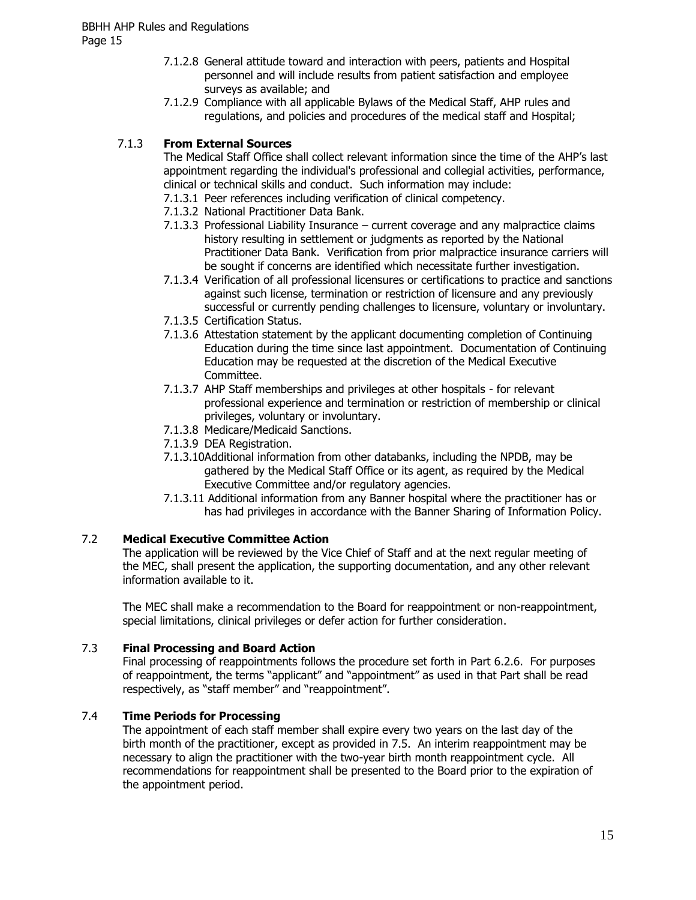- 7.1.2.8 General attitude toward and interaction with peers, patients and Hospital personnel and will include results from patient satisfaction and employee surveys as available; and
- 7.1.2.9 Compliance with all applicable Bylaws of the Medical Staff, AHP rules and regulations, and policies and procedures of the medical staff and Hospital;

# 7.1.3 **From External Sources**

The Medical Staff Office shall collect relevant information since the time of the AHP's last appointment regarding the individual's professional and collegial activities, performance, clinical or technical skills and conduct. Such information may include:

- 7.1.3.1 Peer references including verification of clinical competency.
- 7.1.3.2 National Practitioner Data Bank.
- 7.1.3.3 Professional Liability Insurance current coverage and any malpractice claims history resulting in settlement or judgments as reported by the National Practitioner Data Bank. Verification from prior malpractice insurance carriers will be sought if concerns are identified which necessitate further investigation.
- 7.1.3.4 Verification of all professional licensures or certifications to practice and sanctions against such license, termination or restriction of licensure and any previously successful or currently pending challenges to licensure, voluntary or involuntary.
- 7.1.3.5 Certification Status.
- 7.1.3.6 Attestation statement by the applicant documenting completion of Continuing Education during the time since last appointment. Documentation of Continuing Education may be requested at the discretion of the Medical Executive Committee.
- 7.1.3.7 AHP Staff memberships and privileges at other hospitals for relevant professional experience and termination or restriction of membership or clinical privileges, voluntary or involuntary.
- 7.1.3.8 Medicare/Medicaid Sanctions.
- 7.1.3.9 DEA Registration.
- 7.1.3.10Additional information from other databanks, including the NPDB, may be gathered by the Medical Staff Office or its agent, as required by the Medical Executive Committee and/or regulatory agencies.
- 7.1.3.11 Additional information from any Banner hospital where the practitioner has or has had privileges in accordance with the Banner Sharing of Information Policy.

# 7.2 **Medical Executive Committee Action**

The application will be reviewed by the Vice Chief of Staff and at the next regular meeting of the MEC, shall present the application, the supporting documentation, and any other relevant information available to it.

The MEC shall make a recommendation to the Board for reappointment or non-reappointment, special limitations, clinical privileges or defer action for further consideration.

### 7.3 **Final Processing and Board Action**

Final processing of reappointments follows the procedure set forth in Part 6.2.6. For purposes of reappointment, the terms "applicant" and "appointment" as used in that Part shall be read respectively, as "staff member" and "reappointment".

### 7.4 **Time Periods for Processing**

The appointment of each staff member shall expire every two years on the last day of the birth month of the practitioner, except as provided in 7.5. An interim reappointment may be necessary to align the practitioner with the two-year birth month reappointment cycle. All recommendations for reappointment shall be presented to the Board prior to the expiration of the appointment period.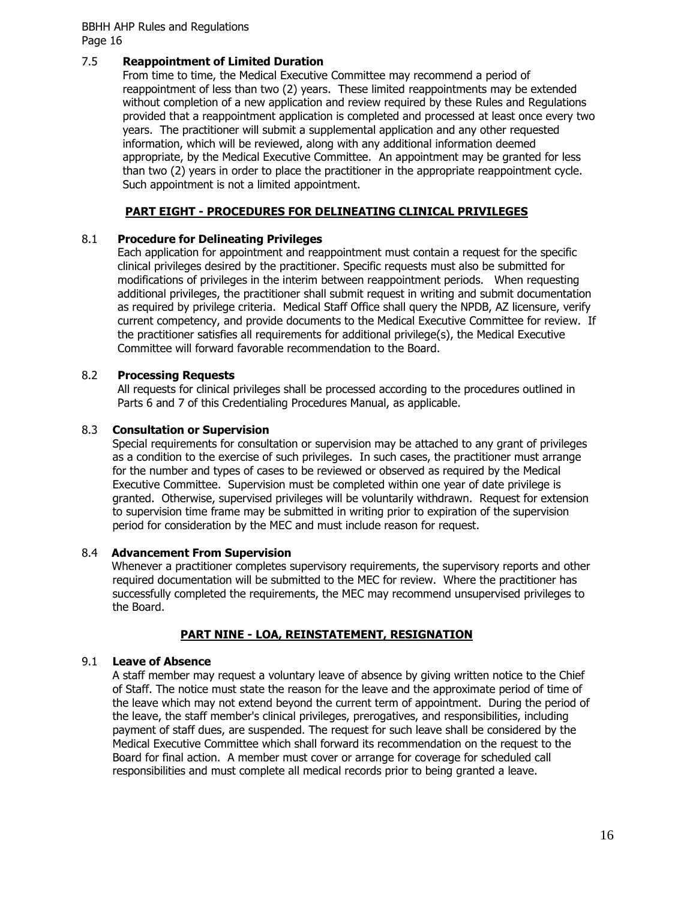#### 7.5 **Reappointment of Limited Duration**

From time to time, the Medical Executive Committee may recommend a period of reappointment of less than two (2) years. These limited reappointments may be extended without completion of a new application and review required by these Rules and Regulations provided that a reappointment application is completed and processed at least once every two years. The practitioner will submit a supplemental application and any other requested information, which will be reviewed, along with any additional information deemed appropriate, by the Medical Executive Committee. An appointment may be granted for less than two (2) years in order to place the practitioner in the appropriate reappointment cycle. Such appointment is not a limited appointment.

### **PART EIGHT - PROCEDURES FOR DELINEATING CLINICAL PRIVILEGES**

#### 8.1 **Procedure for Delineating Privileges**

Each application for appointment and reappointment must contain a request for the specific clinical privileges desired by the practitioner. Specific requests must also be submitted for modifications of privileges in the interim between reappointment periods. When requesting additional privileges, the practitioner shall submit request in writing and submit documentation as required by privilege criteria. Medical Staff Office shall query the NPDB, AZ licensure, verify current competency, and provide documents to the Medical Executive Committee for review. If the practitioner satisfies all requirements for additional privilege(s), the Medical Executive Committee will forward favorable recommendation to the Board.

#### 8.2 **Processing Requests**

All requests for clinical privileges shall be processed according to the procedures outlined in Parts 6 and 7 of this Credentialing Procedures Manual, as applicable.

#### 8.3 **Consultation or Supervision**

Special requirements for consultation or supervision may be attached to any grant of privileges as a condition to the exercise of such privileges. In such cases, the practitioner must arrange for the number and types of cases to be reviewed or observed as required by the Medical Executive Committee. Supervision must be completed within one year of date privilege is granted. Otherwise, supervised privileges will be voluntarily withdrawn. Request for extension to supervision time frame may be submitted in writing prior to expiration of the supervision period for consideration by the MEC and must include reason for request.

### 8.4 **Advancement From Supervision**

 Whenever a practitioner completes supervisory requirements, the supervisory reports and other required documentation will be submitted to the MEC for review. Where the practitioner has successfully completed the requirements, the MEC may recommend unsupervised privileges to the Board.

### **PART NINE - LOA, REINSTATEMENT, RESIGNATION**

#### 9.1 **Leave of Absence**

A staff member may request a voluntary leave of absence by giving written notice to the Chief of Staff. The notice must state the reason for the leave and the approximate period of time of the leave which may not extend beyond the current term of appointment. During the period of the leave, the staff member's clinical privileges, prerogatives, and responsibilities, including payment of staff dues, are suspended. The request for such leave shall be considered by the Medical Executive Committee which shall forward its recommendation on the request to the Board for final action. A member must cover or arrange for coverage for scheduled call responsibilities and must complete all medical records prior to being granted a leave.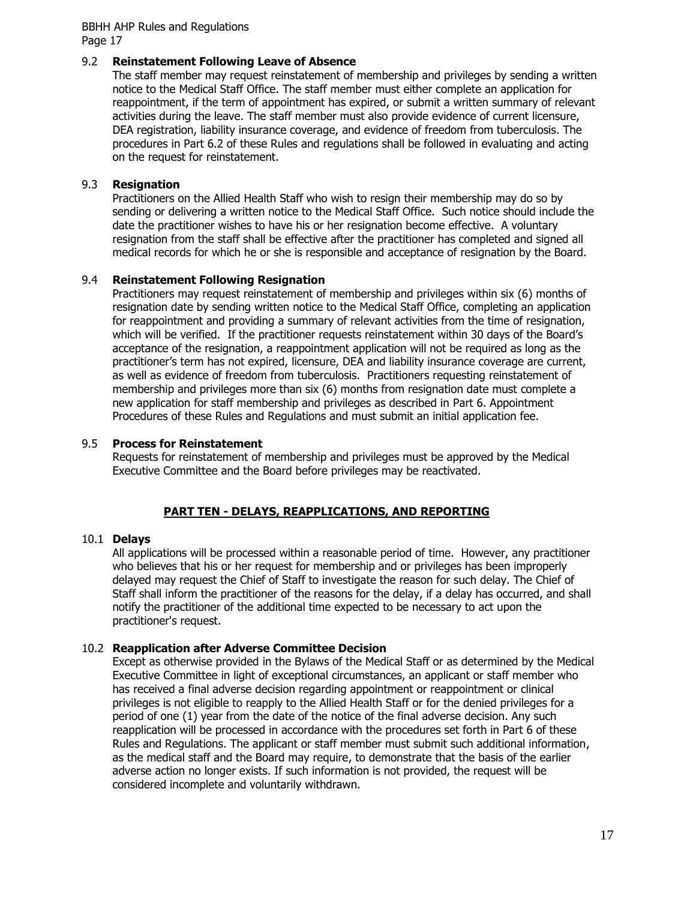#### 9.2 **Reinstatement Following Leave of Absence**

The staff member may request reinstatement of membership and privileges by sending a written notice to the Medical Staff Office. The staff member must either complete an application for reappointment, if the term of appointment has expired, or submit a written summary of relevant activities during the leave. The staff member must also provide evidence of current licensure, DEA registration, liability insurance coverage, and evidence of freedom from tuberculosis. The procedures in Part 6.2 of these Rules and regulations shall be followed in evaluating and acting on the request for reinstatement.

#### 9.3 **Resignation**

Practitioners on the Allied Health Staff who wish to resign their membership may do so by sending or delivering a written notice to the Medical Staff Office. Such notice should include the date the practitioner wishes to have his or her resignation become effective. A voluntary resignation from the staff shall be effective after the practitioner has completed and signed all medical records for which he or she is responsible and acceptance of resignation by the Board.

### 9.4 **Reinstatement Following Resignation**

Practitioners may request reinstatement of membership and privileges within six (6) months of resignation date by sending written notice to the Medical Staff Office, completing an application for reappointment and providing a summary of relevant activities from the time of resignation, which will be verified. If the practitioner requests reinstatement within 30 days of the Board's acceptance of the resignation, a reappointment application will not be required as long as the practitioner's term has not expired, licensure, DEA and liability insurance coverage are current, as well as evidence of freedom from tuberculosis. Practitioners requesting reinstatement of membership and privileges more than six (6) months from resignation date must complete a new application for staff membership and privileges as described in Part 6. Appointment Procedures of these Rules and Regulations and must submit an initial application fee.

#### 9.5 **Process for Reinstatement**

Requests for reinstatement of membership and privileges must be approved by the Medical Executive Committee and the Board before privileges may be reactivated.

### **PART TEN - DELAYS, REAPPLICATIONS, AND REPORTING**

#### 10.1 **Delays**

All applications will be processed within a reasonable period of time. However, any practitioner who believes that his or her request for membership and or privileges has been improperly delayed may request the Chief of Staff to investigate the reason for such delay. The Chief of Staff shall inform the practitioner of the reasons for the delay, if a delay has occurred, and shall notify the practitioner of the additional time expected to be necessary to act upon the practitioner's request.

### 10.2 **Reapplication after Adverse Committee Decision**

Except as otherwise provided in the Bylaws of the Medical Staff or as determined by the Medical Executive Committee in light of exceptional circumstances, an applicant or staff member who has received a final adverse decision regarding appointment or reappointment or clinical privileges is not eligible to reapply to the Allied Health Staff or for the denied privileges for a period of one (1) year from the date of the notice of the final adverse decision. Any such reapplication will be processed in accordance with the procedures set forth in Part 6 of these Rules and Regulations. The applicant or staff member must submit such additional information, as the medical staff and the Board may require, to demonstrate that the basis of the earlier adverse action no longer exists. If such information is not provided, the request will be considered incomplete and voluntarily withdrawn.